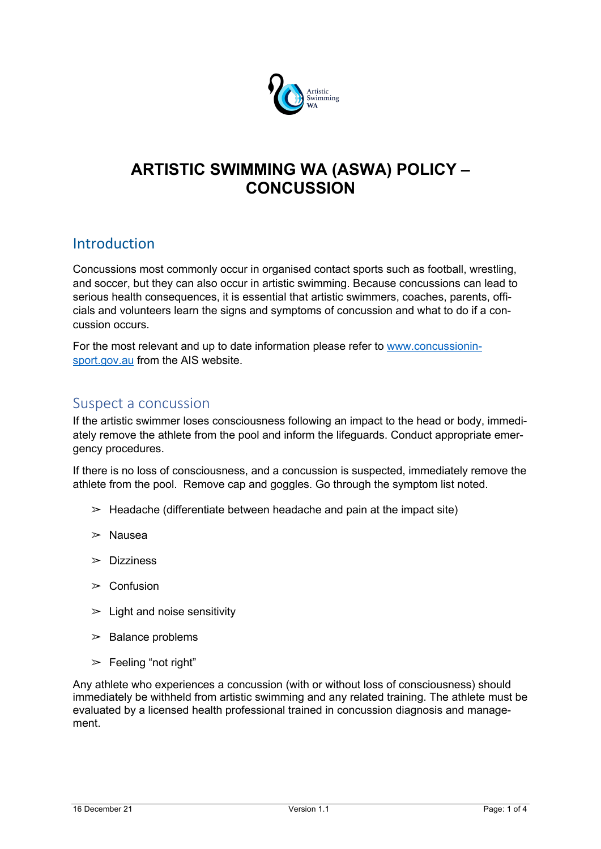

# **ARTISTIC SWIMMING WA (ASWA) POLICY – CONCUSSION**

## Introduction

Concussions most commonly occur in organised contact sports such as football, wrestling, and soccer, but they can also occur in artistic swimming. Because concussions can lead to serious health consequences, it is essential that artistic swimmers, coaches, parents, officials and volunteers learn the signs and symptoms of concussion and what to do if a concussion occurs.

For the most relevant and up to date information please refer to www.concussioninsport.gov.au from the AIS website.

#### Suspect a concussion

If the artistic swimmer loses consciousness following an impact to the head or body, immediately remove the athlete from the pool and inform the lifeguards. Conduct appropriate emergency procedures.

If there is no loss of consciousness, and a concussion is suspected, immediately remove the athlete from the pool. Remove cap and goggles. Go through the symptom list noted.

- $\geq$  Headache (differentiate between headache and pain at the impact site)
- $\geq$  Nausea
- $\triangleright$  Dizziness
- $\geq$  Confusion
- $\geq$  Light and noise sensitivity
- $\geq$  Balance problems
- $\triangleright$  Feeling "not right"

Any athlete who experiences a concussion (with or without loss of consciousness) should immediately be withheld from artistic swimming and any related training. The athlete must be evaluated by a licensed health professional trained in concussion diagnosis and management.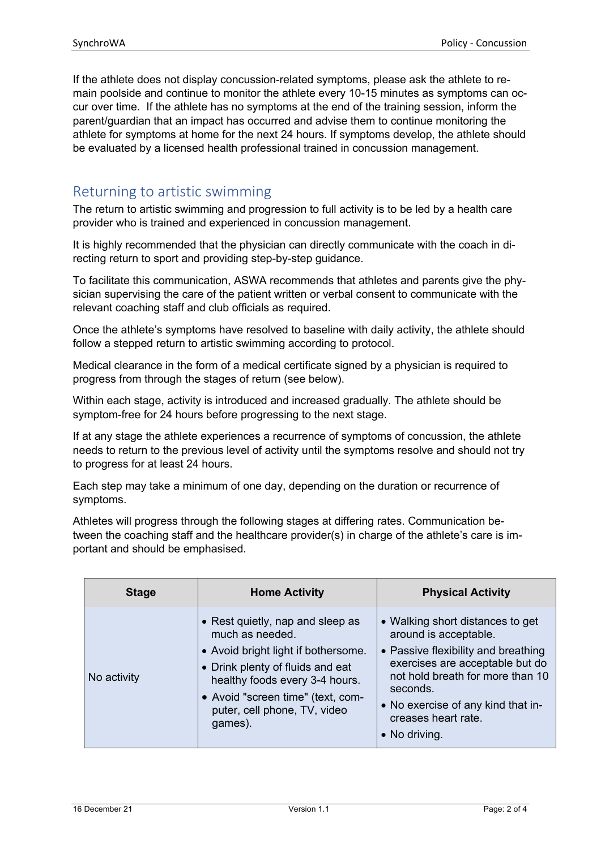If the athlete does not display concussion-related symptoms, please ask the athlete to remain poolside and continue to monitor the athlete every 10-15 minutes as symptoms can occur over time. If the athlete has no symptoms at the end of the training session, inform the parent/guardian that an impact has occurred and advise them to continue monitoring the athlete for symptoms at home for the next 24 hours. If symptoms develop, the athlete should be evaluated by a licensed health professional trained in concussion management.

## Returning to artistic swimming

The return to artistic swimming and progression to full activity is to be led by a health care provider who is trained and experienced in concussion management.

It is highly recommended that the physician can directly communicate with the coach in directing return to sport and providing step-by-step guidance.

To facilitate this communication, ASWA recommends that athletes and parents give the physician supervising the care of the patient written or verbal consent to communicate with the relevant coaching staff and club officials as required.

Once the athlete's symptoms have resolved to baseline with daily activity, the athlete should follow a stepped return to artistic swimming according to protocol.

Medical clearance in the form of a medical certificate signed by a physician is required to progress from through the stages of return (see below).

Within each stage, activity is introduced and increased gradually. The athlete should be symptom-free for 24 hours before progressing to the next stage.

If at any stage the athlete experiences a recurrence of symptoms of concussion, the athlete needs to return to the previous level of activity until the symptoms resolve and should not try to progress for at least 24 hours.

Each step may take a minimum of one day, depending on the duration or recurrence of symptoms.

Athletes will progress through the following stages at differing rates. Communication between the coaching staff and the healthcare provider(s) in charge of the athlete's care is important and should be emphasised.

| <b>Stage</b> | <b>Home Activity</b>                                                                                                                                                                                                                             | <b>Physical Activity</b>                                                                                                                                                                                                                                                  |
|--------------|--------------------------------------------------------------------------------------------------------------------------------------------------------------------------------------------------------------------------------------------------|---------------------------------------------------------------------------------------------------------------------------------------------------------------------------------------------------------------------------------------------------------------------------|
| No activity  | • Rest quietly, nap and sleep as<br>much as needed.<br>• Avoid bright light if bothersome.<br>• Drink plenty of fluids and eat<br>healthy foods every 3-4 hours.<br>• Avoid "screen time" (text, com-<br>puter, cell phone, TV, video<br>games). | • Walking short distances to get<br>around is acceptable.<br>• Passive flexibility and breathing<br>exercises are acceptable but do<br>not hold breath for more than 10<br>seconds.<br>• No exercise of any kind that in-<br>creases heart rate.<br>$\bullet$ No driving. |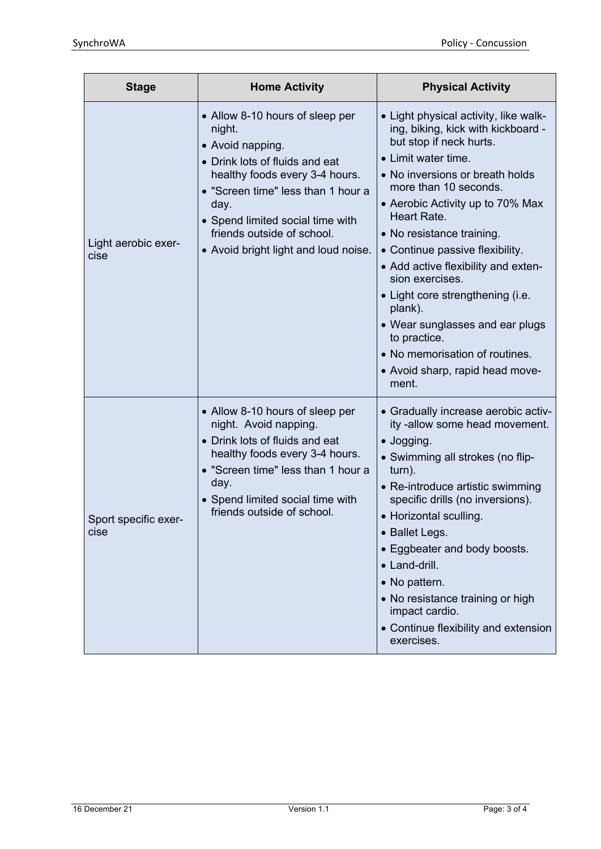| <b>Stage</b>                 | <b>Home Activity</b>                                                                                                                                                                                                                                                                      | <b>Physical Activity</b>                                                                                                                                                                                                                                                                                                                                                                                                                                                                                                                               |
|------------------------------|-------------------------------------------------------------------------------------------------------------------------------------------------------------------------------------------------------------------------------------------------------------------------------------------|--------------------------------------------------------------------------------------------------------------------------------------------------------------------------------------------------------------------------------------------------------------------------------------------------------------------------------------------------------------------------------------------------------------------------------------------------------------------------------------------------------------------------------------------------------|
| Light aerobic exer-<br>cise  | • Allow 8-10 hours of sleep per<br>night.<br>• Avoid napping.<br>• Drink lots of fluids and eat<br>healthy foods every 3-4 hours.<br>• "Screen time" less than 1 hour a<br>day.<br>• Spend limited social time with<br>friends outside of school.<br>• Avoid bright light and loud noise. | • Light physical activity, like walk-<br>ing, biking, kick with kickboard -<br>but stop if neck hurts.<br>• Limit water time.<br>• No inversions or breath holds<br>more than 10 seconds.<br>• Aerobic Activity up to 70% Max<br>Heart Rate.<br>• No resistance training.<br>• Continue passive flexibility.<br>• Add active flexibility and exten-<br>sion exercises.<br>• Light core strengthening (i.e.<br>plank).<br>• Wear sunglasses and ear plugs<br>to practice.<br>• No memorisation of routines.<br>• Avoid sharp, rapid head move-<br>ment. |
| Sport specific exer-<br>cise | • Allow 8-10 hours of sleep per<br>night. Avoid napping.<br>• Drink lots of fluids and eat<br>healthy foods every 3-4 hours.<br>• "Screen time" less than 1 hour a<br>day.<br>• Spend limited social time with<br>friends outside of school.                                              | • Gradually increase aerobic activ-<br>ity -allow some head movement.<br>• Jogging.<br>• Swimming all strokes (no flip-<br>turn).<br>• Re-introduce artistic swimming<br>specific drills (no inversions).<br>• Horizontal sculling.<br>• Ballet Legs.<br>• Eggbeater and body boosts.<br>• Land-drill.<br>• No pattern.<br>• No resistance training or high<br>impact cardio.<br>• Continue flexibility and extension<br>exercises.                                                                                                                    |